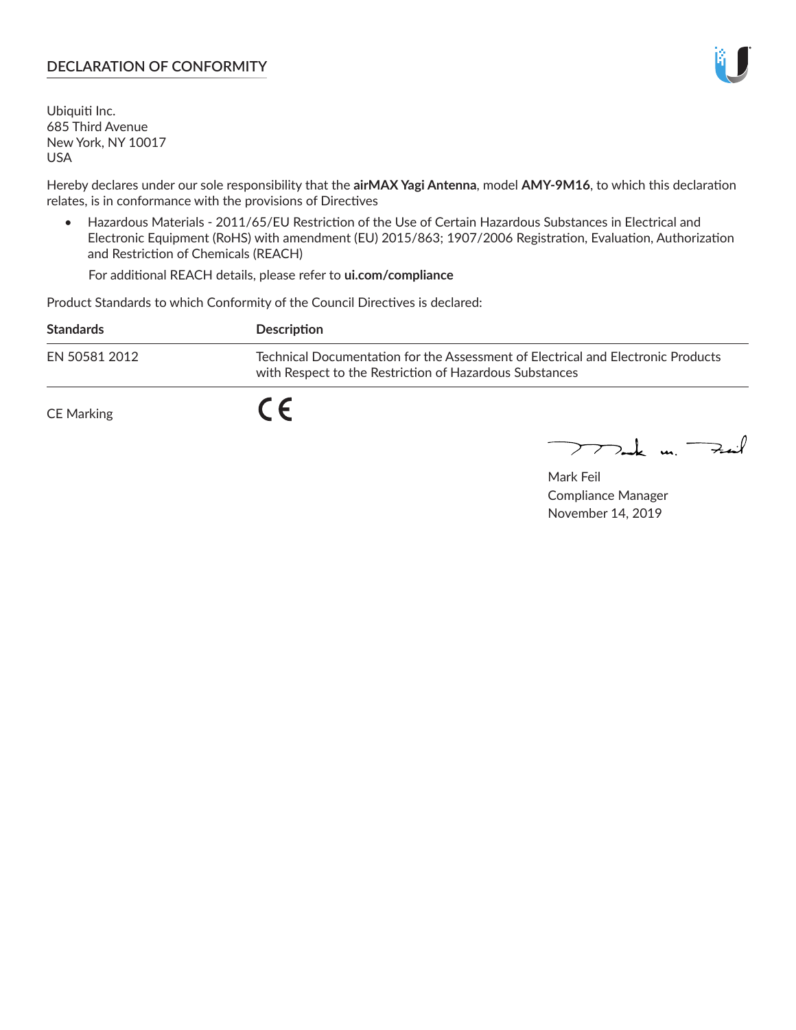## **DECLARATION OF CONFORMITY**

Ubiquiti Inc. 685 Third Avenue New York, NY 10017 USA

Hereby declares under our sole responsibility that the **airMAX Yagi Antenna**, model **AMY-9M16**, to which this declaration relates, is in conformance with the provisions of Directives

• Hazardous Materials - 2011/65/EU Restriction of the Use of Certain Hazardous Substances in Electrical and Electronic Equipment (RoHS) with amendment (EU) 2015/863; 1907/2006 Registration, Evaluation, Authorization and Restriction of Chemicals (REACH)

For additional REACH details, please refer to **ui.com/compliance**

Product Standards to which Conformity of the Council Directives is declared:

| <b>Standards</b> | <b>Description</b>                                                                                                                          |
|------------------|---------------------------------------------------------------------------------------------------------------------------------------------|
| EN 50581 2012    | Technical Documentation for the Assessment of Electrical and Electronic Products<br>with Respect to the Restriction of Hazardous Substances |
| CE Marking       |                                                                                                                                             |

 $\sum_{n=1}^{\infty}$  un  $\sum_{n=1}^{\infty}$ 

Mark Feil Compliance Manager November 14, 2019

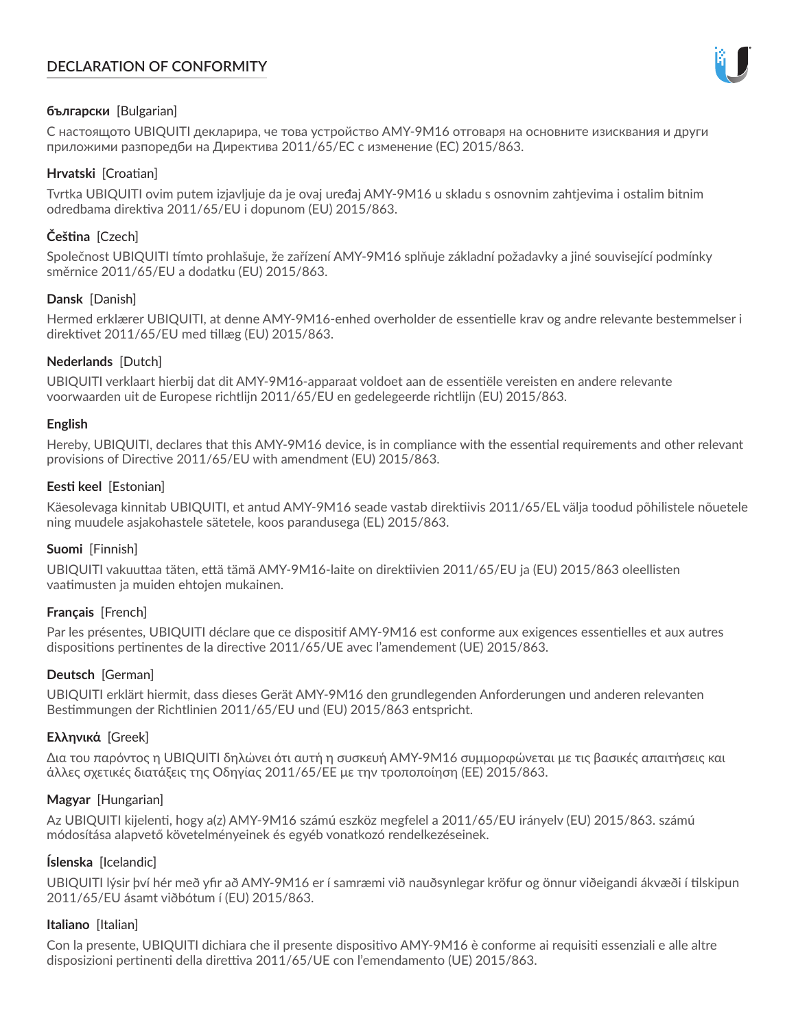# **DECLARATION OF CONFORMITY**



## **български** [Bulgarian]

С настоящото UBIQUITI декларира, че това устройство AMY-9M16 отговаря на основните изисквания и други приложими разпоредби на Директива 2011/65/ЕС с изменение (ЕС) 2015/863.

## **Hrvatski** [Croatian]

Tvrtka UBIQUITI ovim putem izjavljuje da je ovaj uređaj AMY-9M16 u skladu s osnovnim zahtjevima i ostalim bitnim odredbama direktiva 2011/65/EU i dopunom (EU) 2015/863.

# **Čeština** [Czech]

Společnost UBIQUITI tímto prohlašuje, že zařízení AMY-9M16 splňuje základní požadavky a jiné související podmínky směrnice 2011/65/EU a dodatku (EU) 2015/863.

### **Dansk** [Danish]

Hermed erklærer UBIQUITI, at denne AMY-9M16-enhed overholder de essentielle krav og andre relevante bestemmelser i direktivet 2011/65/EU med tillæg (EU) 2015/863.

### **Nederlands** [Dutch]

UBIQUITI verklaart hierbij dat dit AMY-9M16-apparaat voldoet aan de essentiële vereisten en andere relevante voorwaarden uit de Europese richtlijn 2011/65/EU en gedelegeerde richtlijn (EU) 2015/863.

#### **English**

Hereby, UBIQUITI, declares that this AMY-9M16 device, is in compliance with the essential requirements and other relevant provisions of Directive 2011/65/EU with amendment (EU) 2015/863.

### **Eesti keel** [Estonian]

Käesolevaga kinnitab UBIQUITI, et antud AMY-9M16 seade vastab direktiivis 2011/65/EL välja toodud põhilistele nõuetele ning muudele asjakohastele sätetele, koos parandusega (EL) 2015/863.

## **Suomi** [Finnish]

UBIQUITI vakuuttaa täten, että tämä AMY-9M16-laite on direktiivien 2011/65/EU ja (EU) 2015/863 oleellisten vaatimusten ja muiden ehtojen mukainen.

## **Français** [French]

Par les présentes, UBIQUITI déclare que ce dispositif AMY-9M16 est conforme aux exigences essentielles et aux autres dispositions pertinentes de la directive 2011/65/UE avec l'amendement (UE) 2015/863.

## **Deutsch** [German]

UBIQUITI erklärt hiermit, dass dieses Gerät AMY-9M16 den grundlegenden Anforderungen und anderen relevanten Bestimmungen der Richtlinien 2011/65/EU und (EU) 2015/863 entspricht.

#### **Ελληνικά** [Greek]

Δια του παρόντος η UBIQUITI δηλώνει ότι αυτή η συσκευή AMY-9M16 συμμορφώνεται με τις βασικές απαιτήσεις και άλλες σχετικές διατάξεις της Οδηγίας 2011/65/ΕΕ με την τροποποίηση (ΕΕ) 2015/863.

## **Magyar** [Hungarian]

Az UBIQUITI kijelenti, hogy a(z) AMY-9M16 számú eszköz megfelel a 2011/65/EU irányelv (EU) 2015/863. számú módosítása alapvető követelményeinek és egyéb vonatkozó rendelkezéseinek.

#### **Íslenska** [Icelandic]

UBIQUITI lýsir því hér með yfir að AMY-9M16 er í samræmi við nauðsynlegar kröfur og önnur viðeigandi ákvæði í tilskipun 2011/65/EU ásamt viðbótum í (EU) 2015/863.

#### **Italiano** [Italian]

Con la presente, UBIQUITI dichiara che il presente dispositivo AMY-9M16 è conforme ai requisiti essenziali e alle altre disposizioni pertinenti della direttiva 2011/65/UE con l'emendamento (UE) 2015/863.